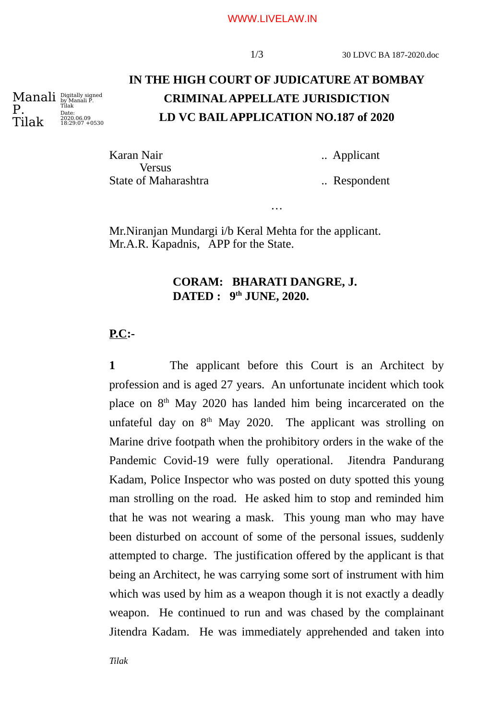#### WWW.LIVELAW.IN

# **IN THE HIGH COURT OF JUDICATURE AT BOMBAY CRIMINAL APPELLATE JURISDICTION LD VC BAIL APPLICATION NO.187 of 2020**

…

Karan Nair **...** ... Applicant **Versus** State of Maharashtra ... Respondent

Mr.Niranjan Mundargi i/b Keral Mehta for the applicant. Mr.A.R. Kapadnis, APP for the State.

#### **CORAM: BHARATI DANGRE, J. DATED : 9th JUNE, 2020.**

#### **P.C:-**

**1** The applicant before this Court is an Architect by profession and is aged 27 years. An unfortunate incident which took place on  $8<sup>th</sup>$  May 2020 has landed him being incarcerated on the unfateful day on  $8<sup>th</sup>$  May 2020. The applicant was strolling on Marine drive footpath when the prohibitory orders in the wake of the Pandemic Covid-19 were fully operational. Jitendra Pandurang Kadam, Police Inspector who was posted on duty spotted this young man strolling on the road. He asked him to stop and reminded him that he was not wearing a mask. This young man who may have been disturbed on account of some of the personal issues, suddenly attempted to charge. The justification offered by the applicant is that being an Architect, he was carrying some sort of instrument with him which was used by him as a weapon though it is not exactly a deadly weapon. He continued to run and was chased by the complainant Jitendra Kadam. He was immediately apprehended and taken into

Manali Digitally signed by Manali P. Tilak P. Tilak Date: 2020.06.09 18:29:07 +0530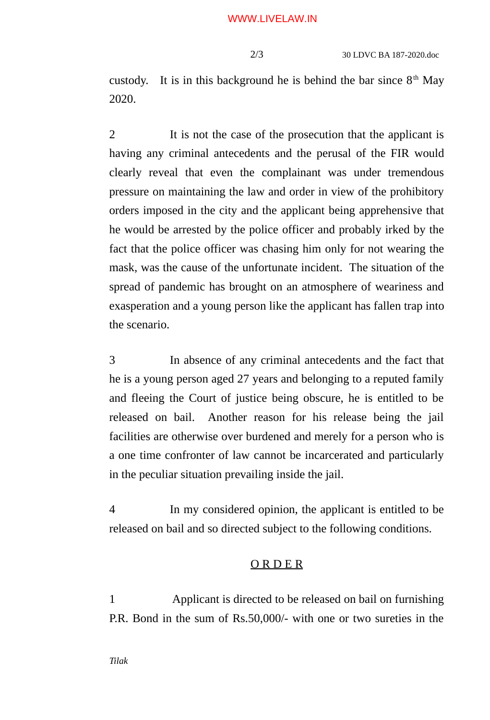custody. It is in this background he is behind the bar since  $8<sup>th</sup>$  May 2020.

2 It is not the case of the prosecution that the applicant is having any criminal antecedents and the perusal of the FIR would clearly reveal that even the complainant was under tremendous pressure on maintaining the law and order in view of the prohibitory orders imposed in the city and the applicant being apprehensive that he would be arrested by the police officer and probably irked by the fact that the police officer was chasing him only for not wearing the mask, was the cause of the unfortunate incident. The situation of the spread of pandemic has brought on an atmosphere of weariness and exasperation and a young person like the applicant has fallen trap into the scenario.

3 In absence of any criminal antecedents and the fact that he is a young person aged 27 years and belonging to a reputed family and fleeing the Court of justice being obscure, he is entitled to be released on bail. Another reason for his release being the jail facilities are otherwise over burdened and merely for a person who is a one time confronter of law cannot be incarcerated and particularly in the peculiar situation prevailing inside the jail.

4 In my considered opinion, the applicant is entitled to be released on bail and so directed subject to the following conditions.

### O R D E R

1 Applicant is directed to be released on bail on furnishing P.R. Bond in the sum of Rs.50,000/- with one or two sureties in the